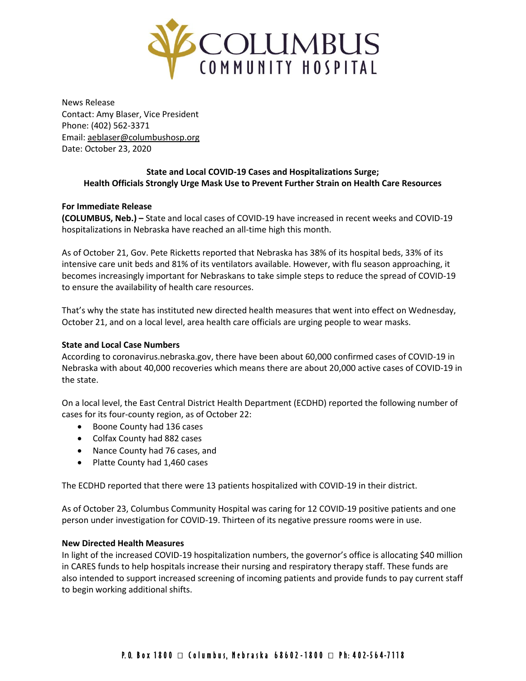

News Release Contact: Amy Blaser, Vice President Phone: (402) 562-3371 Email: [aeblaser@columbushosp.org](mailto:aeblaser@columbushosp.org) Date: October 23, 2020

# **State and Local COVID-19 Cases and Hospitalizations Surge; Health Officials Strongly Urge Mask Use to Prevent Further Strain on Health Care Resources**

## **For Immediate Release**

**(COLUMBUS, Neb.) –** State and local cases of COVID-19 have increased in recent weeks and COVID-19 hospitalizations in Nebraska have reached an all-time high this month.

As of October 21, Gov. Pete Ricketts reported that Nebraska has 38% of its hospital beds, 33% of its intensive care unit beds and 81% of its ventilators available. However, with flu season approaching, it becomes increasingly important for Nebraskans to take simple steps to reduce the spread of COVID-19 to ensure the availability of health care resources.

That's why the state has instituted new directed health measures that went into effect on Wednesday, October 21, and on a local level, area health care officials are urging people to wear masks.

### **State and Local Case Numbers**

According to coronavirus.nebraska.gov, there have been about 60,000 confirmed cases of COVID-19 in Nebraska with about 40,000 recoveries which means there are about 20,000 active cases of COVID-19 in the state.

On a local level, the East Central District Health Department (ECDHD) reported the following number of cases for its four-county region, as of October 22:

- Boone County had 136 cases
- Colfax County had 882 cases
- Nance County had 76 cases, and
- Platte County had 1,460 cases

The ECDHD reported that there were 13 patients hospitalized with COVID-19 in their district.

As of October 23, Columbus Community Hospital was caring for 12 COVID-19 positive patients and one person under investigation for COVID-19. Thirteen of its negative pressure rooms were in use.

#### **New Directed Health Measures**

In light of the increased COVID-19 hospitalization numbers, the governor's office is allocating \$40 million in CARES funds to help hospitals increase their nursing and respiratory therapy staff. These funds are also intended to support increased screening of incoming patients and provide funds to pay current staff to begin working additional shifts.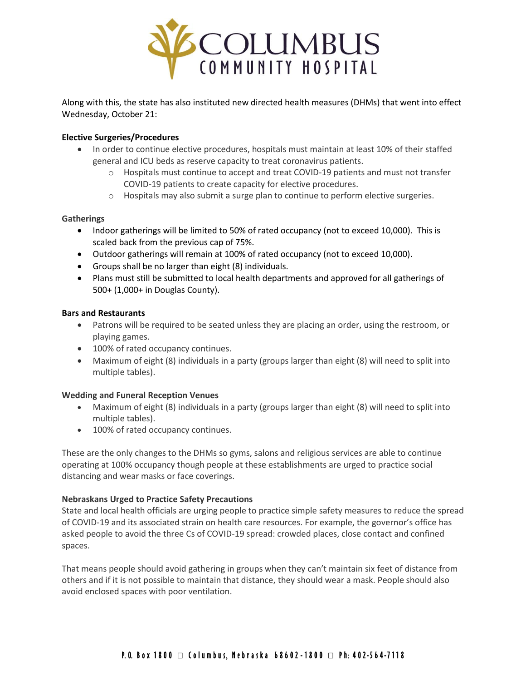

Along with this, the state has also instituted new directed health measures (DHMs) that went into effect Wednesday, October 21:

### **Elective Surgeries/Procedures**

- In order to continue elective procedures, hospitals must maintain at least 10% of their staffed general and ICU beds as reserve capacity to treat coronavirus patients.
	- o Hospitals must continue to accept and treat COVID-19 patients and must not transfer COVID-19 patients to create capacity for elective procedures.
	- o Hospitals may also submit a surge plan to continue to perform elective surgeries.

#### **Gatherings**

- Indoor gatherings will be limited to 50% of rated occupancy (not to exceed 10,000). This is scaled back from the previous cap of 75%.
- Outdoor gatherings will remain at 100% of rated occupancy (not to exceed 10,000).
- Groups shall be no larger than eight (8) individuals.
- Plans must still be submitted to local health departments and approved for all gatherings of 500+ (1,000+ in Douglas County).

#### **Bars and Restaurants**

- Patrons will be required to be seated unless they are placing an order, using the restroom, or playing games.
- 100% of rated occupancy continues.
- Maximum of eight (8) individuals in a party (groups larger than eight (8) will need to split into multiple tables).

#### **Wedding and Funeral Reception Venues**

- Maximum of eight (8) individuals in a party (groups larger than eight (8) will need to split into multiple tables).
- 100% of rated occupancy continues.

These are the only changes to the DHMs so gyms, salons and religious services are able to continue operating at 100% occupancy though people at these establishments are urged to practice social distancing and wear masks or face coverings.

#### **Nebraskans Urged to Practice Safety Precautions**

State and local health officials are urging people to practice simple safety measures to reduce the spread of COVID-19 and its associated strain on health care resources. For example, the governor's office has asked people to avoid the three Cs of COVID-19 spread: crowded places, close contact and confined spaces.

That means people should avoid gathering in groups when they can't maintain six feet of distance from others and if it is not possible to maintain that distance, they should wear a mask. People should also avoid enclosed spaces with poor ventilation.

# P.O. Box 1800 □ Columbus, Nebraska 68602-1800 □ Ph: 402-564-7118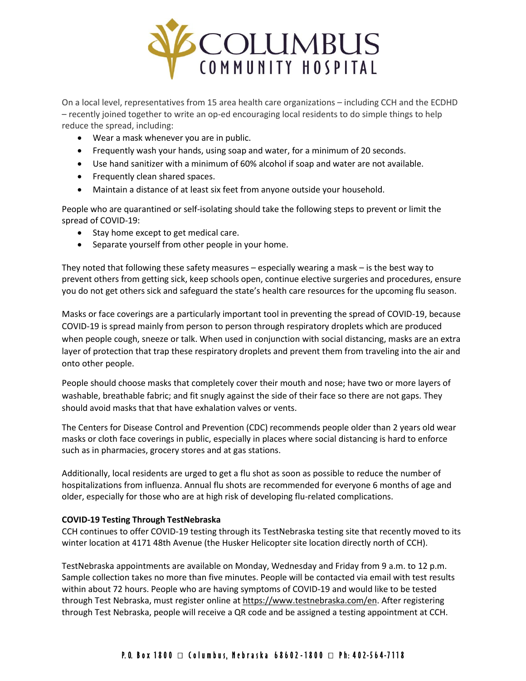

On a local level, representatives from 15 area health care organizations – including CCH and the ECDHD – recently joined together to write an op-ed encouraging local residents to do simple things to help reduce the spread, including:

- Wear a mask whenever you are in public.
- Frequently wash your hands, using soap and water, for a minimum of 20 seconds.
- Use hand sanitizer with a minimum of 60% alcohol if soap and water are not available.
- Frequently clean shared spaces.
- Maintain a distance of at least six feet from anyone outside your household.

People who are quarantined or self-isolating should take the following steps to prevent or limit the spread of COVID-19:

- Stay home except to get medical care.
- Separate yourself from other people in your home.

They noted that following these safety measures – especially wearing a mask – is the best way to prevent others from getting sick, keep schools open, continue elective surgeries and procedures, ensure you do not get others sick and safeguard the state's health care resources for the upcoming flu season.

Masks or face coverings are a particularly important tool in preventing the spread of COVID-19, because COVID-19 is spread mainly from person to person through respiratory droplets which are produced when people cough, sneeze or talk. When used in conjunction with social distancing, masks are an extra layer of protection that trap these respiratory droplets and prevent them from traveling into the air and onto other people.

People should choose masks that completely cover their mouth and nose; have two or more layers of washable, breathable fabric; and fit snugly against the side of their face so there are not gaps. They should avoid masks that that have exhalation valves or vents.

The Centers for Disease Control and Prevention (CDC) recommends people older than 2 years old wear masks or cloth face coverings in public, especially in places where social distancing is hard to enforce such as in pharmacies, grocery stores and at gas stations.

Additionally, local residents are urged to get a flu shot as soon as possible to reduce the number of hospitalizations from influenza. Annual flu shots are recommended for everyone 6 months of age and older, especially for those who are at high risk of developing flu-related complications.

#### **COVID-19 Testing Through TestNebraska**

CCH continues to offer COVID-19 testing through its TestNebraska testing site that recently moved to its winter location at 4171 48th Avenue (the Husker Helicopter site location directly north of CCH).

TestNebraska appointments are available on Monday, Wednesday and Friday from 9 a.m. to 12 p.m. Sample collection takes no more than five minutes. People will be contacted via email with test results within about 72 hours. People who are having symptoms of COVID-19 and would like to be tested through Test Nebraska, must register online a[t https://www.testnebraska.com/en.](https://www.testnebraska.com/en) After registering through Test Nebraska, people will receive a QR code and be assigned a testing appointment at CCH.

# P.O. Box 1800 □ Columbus, Nebraska 68602-1800 □ Ph: 402-564-7118